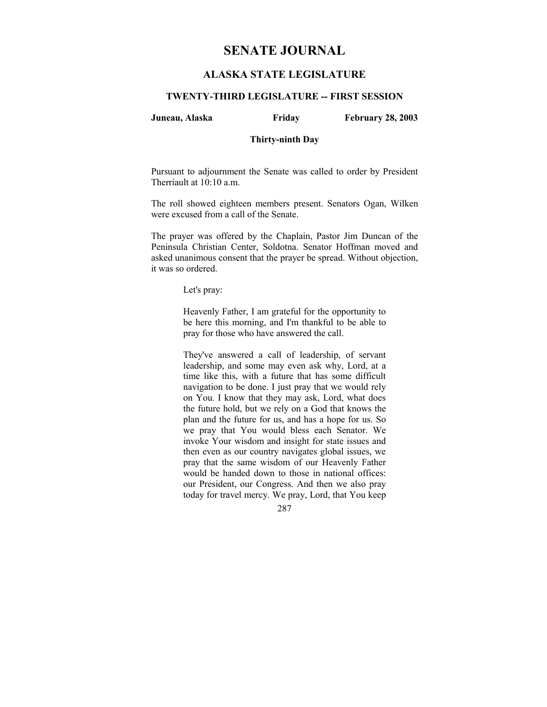# **SENATE JOURNAL**

# **ALASKA STATE LEGISLATURE**

# **TWENTY-THIRD LEGISLATURE -- FIRST SESSION**

#### **Juneau, Alaska Friday February 28, 2003**

### **Thirty-ninth Day**

Pursuant to adjournment the Senate was called to order by President Therriault at 10:10 a.m.

The roll showed eighteen members present. Senators Ogan, Wilken were excused from a call of the Senate.

The prayer was offered by the Chaplain, Pastor Jim Duncan of the Peninsula Christian Center, Soldotna. Senator Hoffman moved and asked unanimous consent that the prayer be spread. Without objection, it was so ordered.

Let's pray:

Heavenly Father, I am grateful for the opportunity to be here this morning, and I'm thankful to be able to pray for those who have answered the call.

They've answered a call of leadership, of servant leadership, and some may even ask why, Lord, at a time like this, with a future that has some difficult navigation to be done. I just pray that we would rely on You. I know that they may ask, Lord, what does the future hold, but we rely on a God that knows the plan and the future for us, and has a hope for us. So we pray that You would bless each Senator. We invoke Your wisdom and insight for state issues and then even as our country navigates global issues, we pray that the same wisdom of our Heavenly Father would be handed down to those in national offices: our President, our Congress. And then we also pray today for travel mercy. We pray, Lord, that You keep

287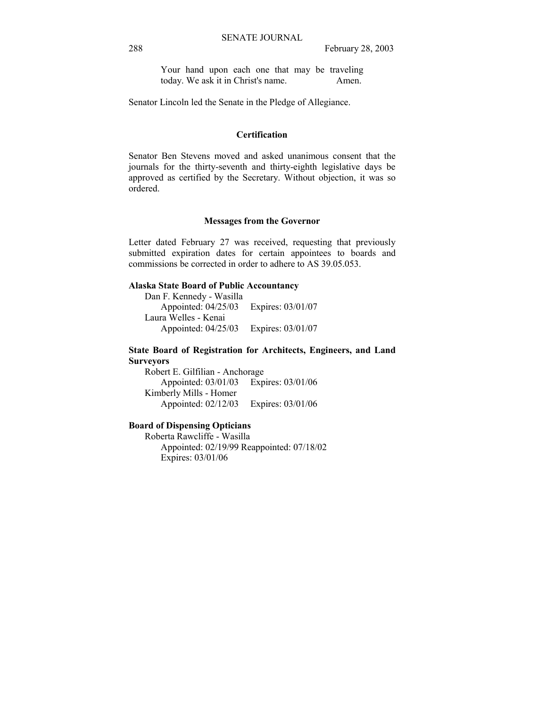Your hand upon each one that may be traveling today. We ask it in Christ's name. Amen.

Senator Lincoln led the Senate in the Pledge of Allegiance.

# **Certification**

Senator Ben Stevens moved and asked unanimous consent that the journals for the thirty-seventh and thirty-eighth legislative days be approved as certified by the Secretary. Without objection, it was so ordered.

## **Messages from the Governor**

Letter dated February 27 was received, requesting that previously submitted expiration dates for certain appointees to boards and commissions be corrected in order to adhere to AS 39.05.053.

# **Alaska State Board of Public Accountancy**

 Dan F. Kennedy - Wasilla Appointed: 04/25/03 Expires: 03/01/07 Laura Welles - Kenai Appointed: 04/25/03 Expires: 03/01/07

**State Board of Registration for Architects, Engineers, and Land Surveyors**

 Robert E. Gilfilian - Anchorage Appointed: 03/01/03 Expires: 03/01/06 Kimberly Mills - Homer Appointed: 02/12/03 Expires: 03/01/06

#### **Board of Dispensing Opticians**

 Roberta Rawcliffe - Wasilla Appointed: 02/19/99 Reappointed: 07/18/02 Expires: 03/01/06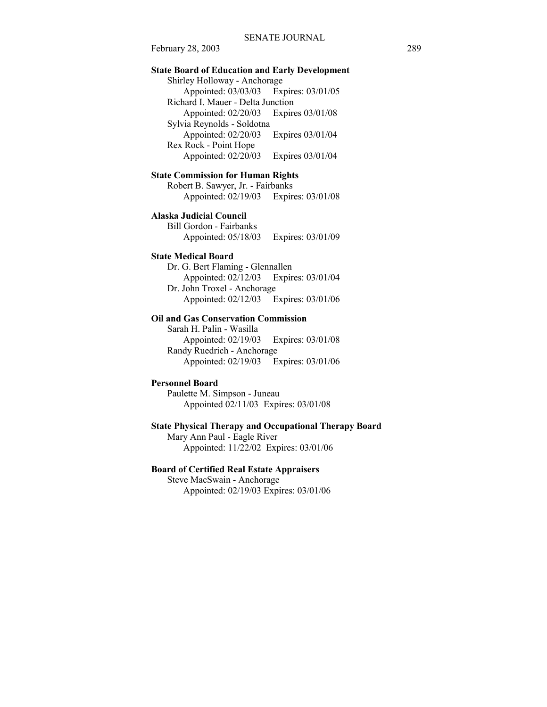# **State Board of Education and Early Development**

 Shirley Holloway - Anchorage Appointed: 03/03/03 Expires: 03/01/05 Richard I. Mauer - Delta Junction Appointed: 02/20/03 Expires 03/01/08 Sylvia Reynolds - Soldotna Appointed: 02/20/03 Expires 03/01/04 Rex Rock - Point Hope Appointed: 02/20/03 Expires 03/01/04

# **State Commission for Human Rights**

 Robert B. Sawyer, Jr. - Fairbanks Appointed: 02/19/03 Expires: 03/01/08

**Alaska Judicial Council**

 Bill Gordon - Fairbanks Appointed: 05/18/03 Expires: 03/01/09

# **State Medical Board**

 Dr. G. Bert Flaming - Glennallen Appointed: 02/12/03 Expires: 03/01/04 Dr. John Troxel - Anchorage Appointed: 02/12/03 Expires: 03/01/06

## **Oil and Gas Conservation Commission**

 Sarah H. Palin - Wasilla Appointed: 02/19/03 Expires: 03/01/08 Randy Ruedrich - Anchorage Appointed: 02/19/03 Expires: 03/01/06

# **Personnel Board**

 Paulette M. Simpson - Juneau Appointed 02/11/03 Expires: 03/01/08

### **State Physical Therapy and Occupational Therapy Board**

Mary Ann Paul - Eagle River

Appointed: 11/22/02 Expires: 03/01/06

# **Board of Certified Real Estate Appraisers**

 Steve MacSwain - Anchorage Appointed: 02/19/03 Expires: 03/01/06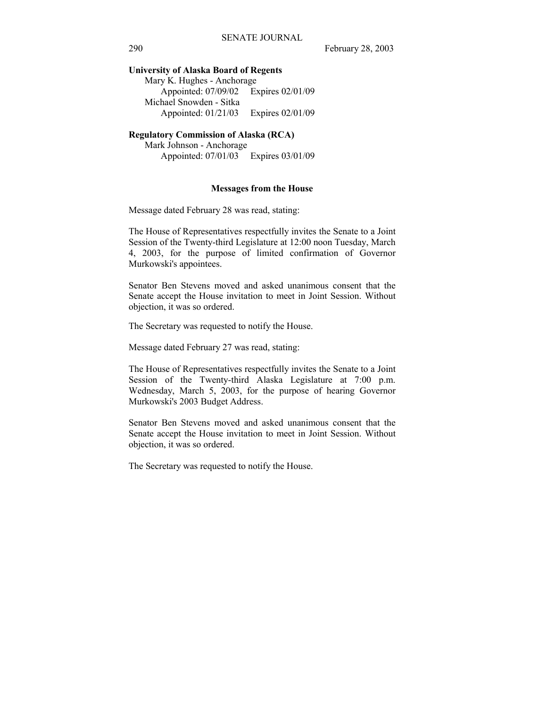# **University of Alaska Board of Regents**

| Mary K. Hughes - Anchorage |
|----------------------------|
| Expires 02/01/09           |
|                            |
| Expires 02/01/09           |
|                            |

# **Regulatory Commission of Alaska (RCA)**

 Mark Johnson - Anchorage Appointed: 07/01/03 Expires 03/01/09

#### **Messages from the House**

Message dated February 28 was read, stating:

The House of Representatives respectfully invites the Senate to a Joint Session of the Twenty-third Legislature at 12:00 noon Tuesday, March 4, 2003, for the purpose of limited confirmation of Governor Murkowski's appointees.

Senator Ben Stevens moved and asked unanimous consent that the Senate accept the House invitation to meet in Joint Session. Without objection, it was so ordered.

The Secretary was requested to notify the House.

Message dated February 27 was read, stating:

The House of Representatives respectfully invites the Senate to a Joint Session of the Twenty-third Alaska Legislature at 7:00 p.m. Wednesday, March 5, 2003, for the purpose of hearing Governor Murkowski's 2003 Budget Address.

Senator Ben Stevens moved and asked unanimous consent that the Senate accept the House invitation to meet in Joint Session. Without objection, it was so ordered.

The Secretary was requested to notify the House.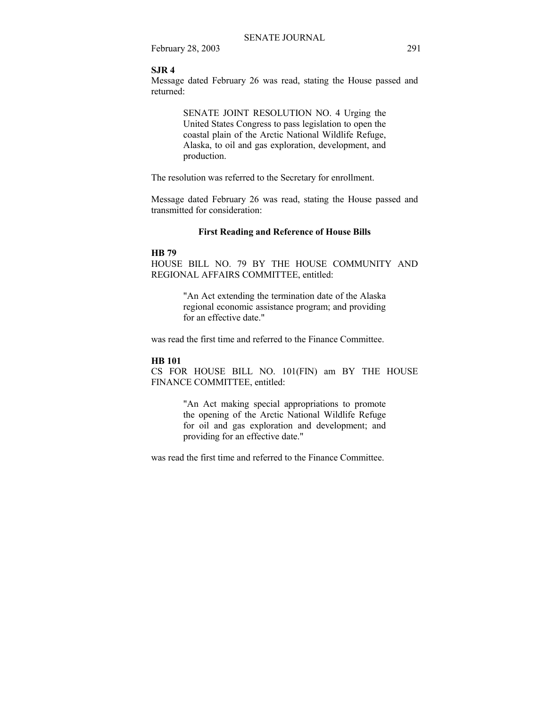# **SJR 4**

Message dated February 26 was read, stating the House passed and returned:

> SENATE JOINT RESOLUTION NO. 4 Urging the United States Congress to pass legislation to open the coastal plain of the Arctic National Wildlife Refuge, Alaska, to oil and gas exploration, development, and production.

The resolution was referred to the Secretary for enrollment.

Message dated February 26 was read, stating the House passed and transmitted for consideration:

# **First Reading and Reference of House Bills**

# **HB 79**

HOUSE BILL NO. 79 BY THE HOUSE COMMUNITY AND REGIONAL AFFAIRS COMMITTEE, entitled:

> "An Act extending the termination date of the Alaska regional economic assistance program; and providing for an effective date."

was read the first time and referred to the Finance Committee.

### **HB 101**

CS FOR HOUSE BILL NO. 101(FIN) am BY THE HOUSE FINANCE COMMITTEE, entitled:

> "An Act making special appropriations to promote the opening of the Arctic National Wildlife Refuge for oil and gas exploration and development; and providing for an effective date."

was read the first time and referred to the Finance Committee.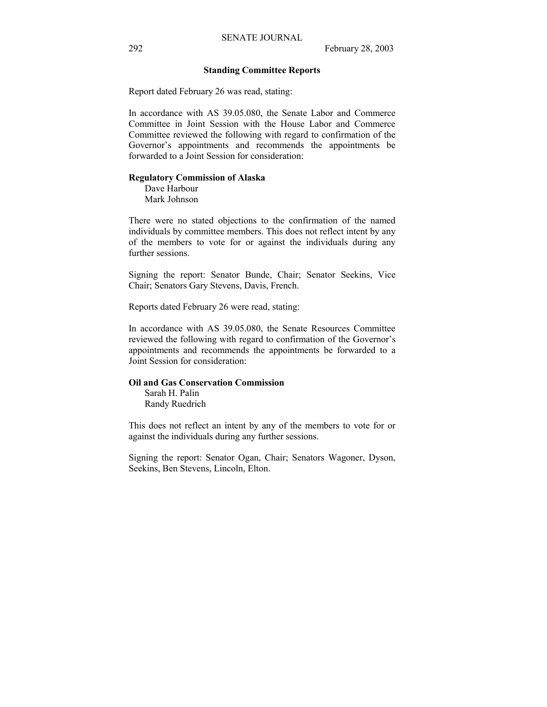## **Standing Committee Reports**

Report dated February 26 was read, stating:

In accordance with AS 39.05.080, the Senate Labor and Commerce Committee in Joint Session with the House Labor and Commerce Committee reviewed the following with regard to confirmation of the Governor's appointments and recommends the appointments be forwarded to a Joint Session for consideration:

# **Regulatory Commission of Alaska**

 Dave Harbour Mark Johnson

There were no stated objections to the confirmation of the named individuals by committee members. This does not reflect intent by any of the members to vote for or against the individuals during any further sessions.

Signing the report: Senator Bunde, Chair; Senator Seekins, Vice Chair; Senators Gary Stevens, Davis, French.

Reports dated February 26 were read, stating:

In accordance with AS 39.05.080, the Senate Resources Committee reviewed the following with regard to confirmation of the Governor's appointments and recommends the appointments be forwarded to a Joint Session for consideration:

# **Oil and Gas Conservation Commission**

 Sarah H. Palin Randy Ruedrich

This does not reflect an intent by any of the members to vote for or against the individuals during any further sessions.

Signing the report: Senator Ogan, Chair; Senators Wagoner, Dyson, Seekins, Ben Stevens, Lincoln, Elton.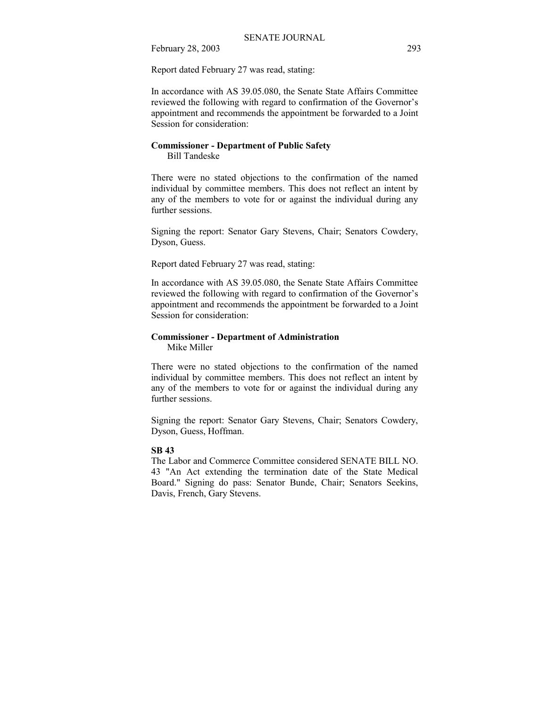Report dated February 27 was read, stating:

In accordance with AS 39.05.080, the Senate State Affairs Committee reviewed the following with regard to confirmation of the Governor's appointment and recommends the appointment be forwarded to a Joint Session for consideration:

# **Commissioner - Department of Public Safety**  Bill Tandeske

There were no stated objections to the confirmation of the named individual by committee members. This does not reflect an intent by any of the members to vote for or against the individual during any further sessions.

Signing the report: Senator Gary Stevens, Chair; Senators Cowdery, Dyson, Guess.

Report dated February 27 was read, stating:

In accordance with AS 39.05.080, the Senate State Affairs Committee reviewed the following with regard to confirmation of the Governor's appointment and recommends the appointment be forwarded to a Joint Session for consideration:

# **Commissioner - Department of Administration**

Mike Miller

There were no stated objections to the confirmation of the named individual by committee members. This does not reflect an intent by any of the members to vote for or against the individual during any further sessions.

Signing the report: Senator Gary Stevens, Chair; Senators Cowdery, Dyson, Guess, Hoffman.

# **SB 43**

The Labor and Commerce Committee considered SENATE BILL NO. 43 "An Act extending the termination date of the State Medical Board." Signing do pass: Senator Bunde, Chair; Senators Seekins, Davis, French, Gary Stevens.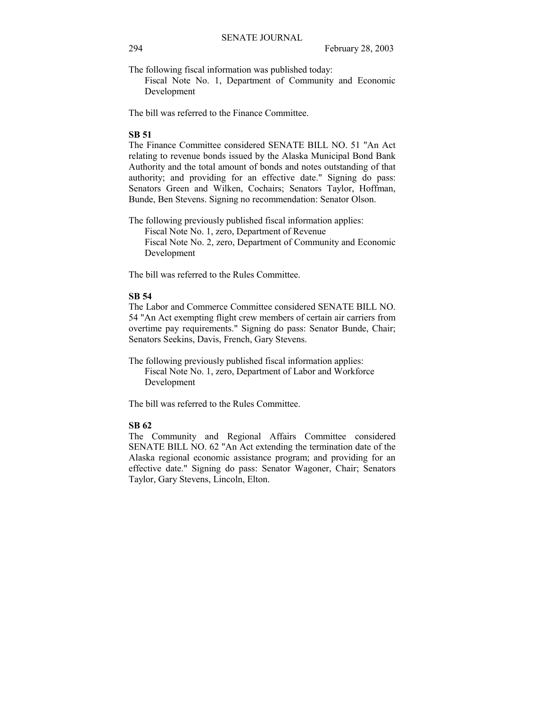The following fiscal information was published today:

 Fiscal Note No. 1, Department of Community and Economic Development

The bill was referred to the Finance Committee.

# **SB 51**

The Finance Committee considered SENATE BILL NO. 51 "An Act relating to revenue bonds issued by the Alaska Municipal Bond Bank Authority and the total amount of bonds and notes outstanding of that authority; and providing for an effective date." Signing do pass: Senators Green and Wilken, Cochairs; Senators Taylor, Hoffman, Bunde, Ben Stevens. Signing no recommendation: Senator Olson.

The following previously published fiscal information applies: Fiscal Note No. 1, zero, Department of Revenue Fiscal Note No. 2, zero, Department of Community and Economic Development

The bill was referred to the Rules Committee.

# **SB 54**

The Labor and Commerce Committee considered SENATE BILL NO. 54 "An Act exempting flight crew members of certain air carriers from overtime pay requirements." Signing do pass: Senator Bunde, Chair; Senators Seekins, Davis, French, Gary Stevens.

The following previously published fiscal information applies: Fiscal Note No. 1, zero, Department of Labor and Workforce Development

The bill was referred to the Rules Committee.

# **SB 62**

The Community and Regional Affairs Committee considered SENATE BILL NO. 62 "An Act extending the termination date of the Alaska regional economic assistance program; and providing for an effective date." Signing do pass: Senator Wagoner, Chair; Senators Taylor, Gary Stevens, Lincoln, Elton.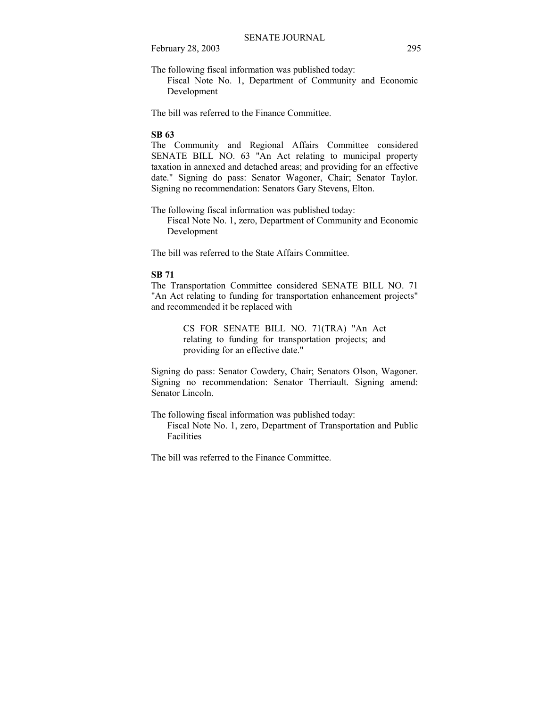The following fiscal information was published today:

 Fiscal Note No. 1, Department of Community and Economic Development

The bill was referred to the Finance Committee.

# **SB 63**

The Community and Regional Affairs Committee considered SENATE BILL NO. 63 "An Act relating to municipal property taxation in annexed and detached areas; and providing for an effective date." Signing do pass: Senator Wagoner, Chair; Senator Taylor. Signing no recommendation: Senators Gary Stevens, Elton.

The following fiscal information was published today: Fiscal Note No. 1, zero, Department of Community and Economic Development

The bill was referred to the State Affairs Committee.

# **SB 71**

The Transportation Committee considered SENATE BILL NO. 71 "An Act relating to funding for transportation enhancement projects" and recommended it be replaced with

> CS FOR SENATE BILL NO. 71(TRA) "An Act relating to funding for transportation projects; and providing for an effective date."

Signing do pass: Senator Cowdery, Chair; Senators Olson, Wagoner. Signing no recommendation: Senator Therriault. Signing amend: Senator Lincoln.

The following fiscal information was published today: Fiscal Note No. 1, zero, Department of Transportation and Public Facilities

The bill was referred to the Finance Committee.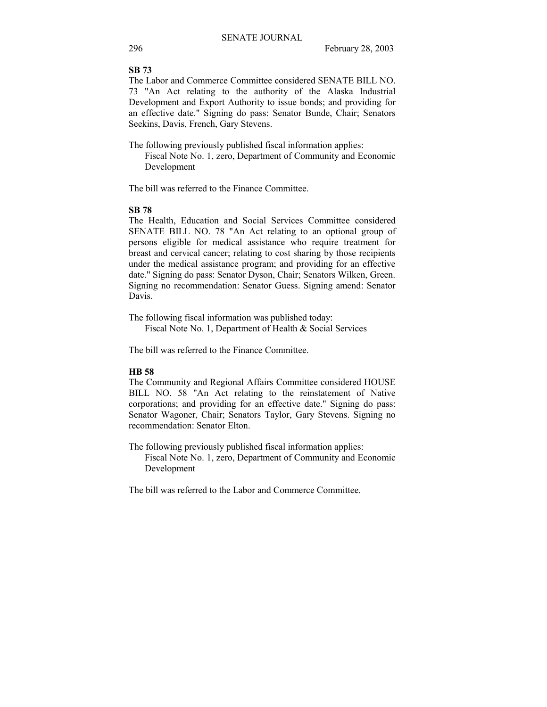# **SB 73**

The Labor and Commerce Committee considered SENATE BILL NO. 73 "An Act relating to the authority of the Alaska Industrial Development and Export Authority to issue bonds; and providing for an effective date." Signing do pass: Senator Bunde, Chair; Senators Seekins, Davis, French, Gary Stevens.

The following previously published fiscal information applies: Fiscal Note No. 1, zero, Department of Community and Economic Development

The bill was referred to the Finance Committee.

# **SB 78**

The Health, Education and Social Services Committee considered SENATE BILL NO. 78 "An Act relating to an optional group of persons eligible for medical assistance who require treatment for breast and cervical cancer; relating to cost sharing by those recipients under the medical assistance program; and providing for an effective date." Signing do pass: Senator Dyson, Chair; Senators Wilken, Green. Signing no recommendation: Senator Guess. Signing amend: Senator Davis.

The following fiscal information was published today: Fiscal Note No. 1, Department of Health & Social Services

The bill was referred to the Finance Committee.

# **HB 58**

The Community and Regional Affairs Committee considered HOUSE BILL NO. 58 "An Act relating to the reinstatement of Native corporations; and providing for an effective date." Signing do pass: Senator Wagoner, Chair; Senators Taylor, Gary Stevens. Signing no recommendation: Senator Elton.

The following previously published fiscal information applies: Fiscal Note No. 1, zero, Department of Community and Economic Development

The bill was referred to the Labor and Commerce Committee.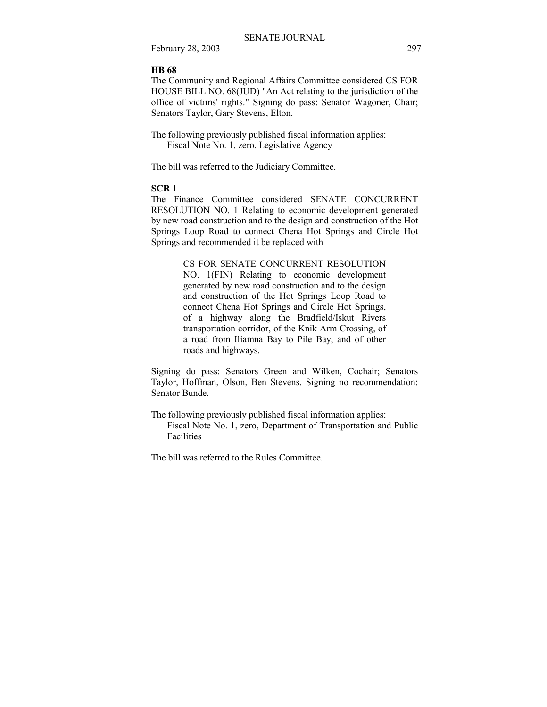# **HB 68**

The Community and Regional Affairs Committee considered CS FOR HOUSE BILL NO. 68(JUD) "An Act relating to the jurisdiction of the office of victims' rights." Signing do pass: Senator Wagoner, Chair; Senators Taylor, Gary Stevens, Elton.

The following previously published fiscal information applies: Fiscal Note No. 1, zero, Legislative Agency

The bill was referred to the Judiciary Committee.

# **SCR 1**

The Finance Committee considered SENATE CONCURRENT RESOLUTION NO. 1 Relating to economic development generated by new road construction and to the design and construction of the Hot Springs Loop Road to connect Chena Hot Springs and Circle Hot Springs and recommended it be replaced with

> CS FOR SENATE CONCURRENT RESOLUTION NO. 1(FIN) Relating to economic development generated by new road construction and to the design and construction of the Hot Springs Loop Road to connect Chena Hot Springs and Circle Hot Springs, of a highway along the Bradfield/Iskut Rivers transportation corridor, of the Knik Arm Crossing, of a road from Iliamna Bay to Pile Bay, and of other roads and highways.

Signing do pass: Senators Green and Wilken, Cochair; Senators Taylor, Hoffman, Olson, Ben Stevens. Signing no recommendation: Senator Bunde.

The following previously published fiscal information applies: Fiscal Note No. 1, zero, Department of Transportation and Public Facilities

The bill was referred to the Rules Committee.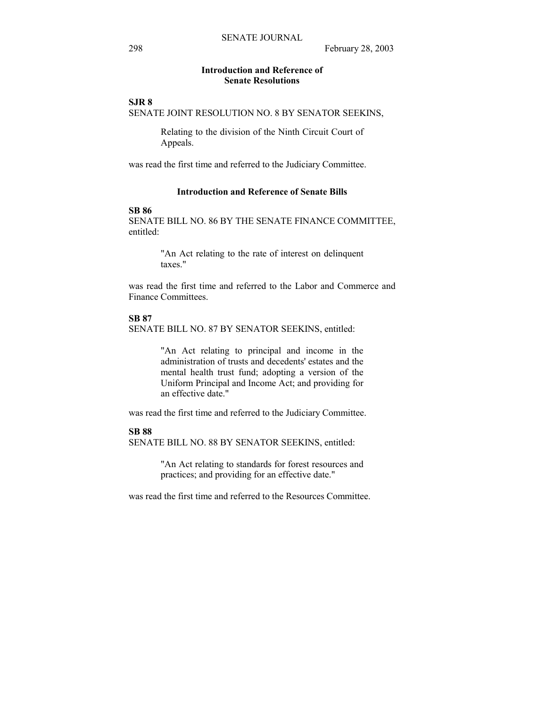# **Introduction and Reference of Senate Resolutions**

**SJR 8** 

SENATE JOINT RESOLUTION NO. 8 BY SENATOR SEEKINS,

Relating to the division of the Ninth Circuit Court of Appeals.

was read the first time and referred to the Judiciary Committee.

# **Introduction and Reference of Senate Bills**

### **SB 86**

SENATE BILL NO. 86 BY THE SENATE FINANCE COMMITTEE, entitled:

> "An Act relating to the rate of interest on delinquent taxes."

was read the first time and referred to the Labor and Commerce and Finance Committees.

#### **SB 87**

SENATE BILL NO. 87 BY SENATOR SEEKINS, entitled:

"An Act relating to principal and income in the administration of trusts and decedents' estates and the mental health trust fund; adopting a version of the Uniform Principal and Income Act; and providing for an effective date."

was read the first time and referred to the Judiciary Committee.

# **SB 88**

SENATE BILL NO. 88 BY SENATOR SEEKINS, entitled:

"An Act relating to standards for forest resources and practices; and providing for an effective date."

was read the first time and referred to the Resources Committee.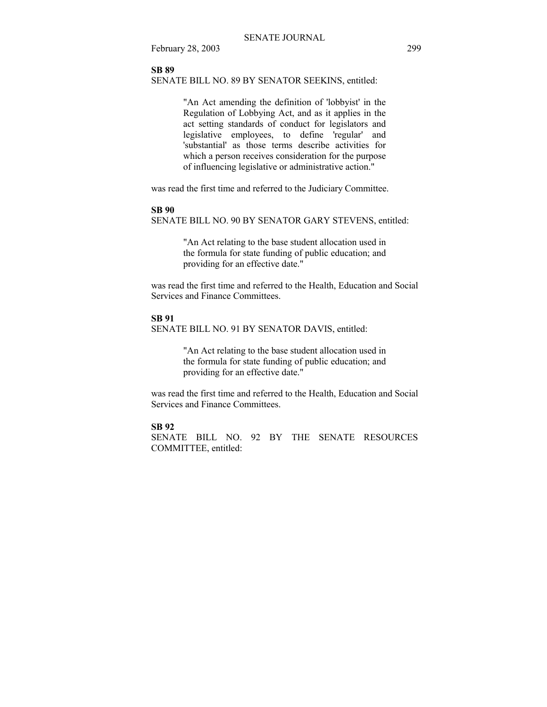# **SB 89**

SENATE BILL NO. 89 BY SENATOR SEEKINS, entitled:

"An Act amending the definition of 'lobbyist' in the Regulation of Lobbying Act, and as it applies in the act setting standards of conduct for legislators and legislative employees, to define 'regular' and 'substantial' as those terms describe activities for which a person receives consideration for the purpose of influencing legislative or administrative action."

was read the first time and referred to the Judiciary Committee.

#### **SB 90**

SENATE BILL NO. 90 BY SENATOR GARY STEVENS, entitled:

"An Act relating to the base student allocation used in the formula for state funding of public education; and providing for an effective date."

was read the first time and referred to the Health, Education and Social Services and Finance Committees.

#### **SB 91**

SENATE BILL NO. 91 BY SENATOR DAVIS, entitled:

"An Act relating to the base student allocation used in the formula for state funding of public education; and providing for an effective date."

was read the first time and referred to the Health, Education and Social Services and Finance Committees.

### **SB 92**

SENATE BILL NO. 92 BY THE SENATE RESOURCES COMMITTEE, entitled: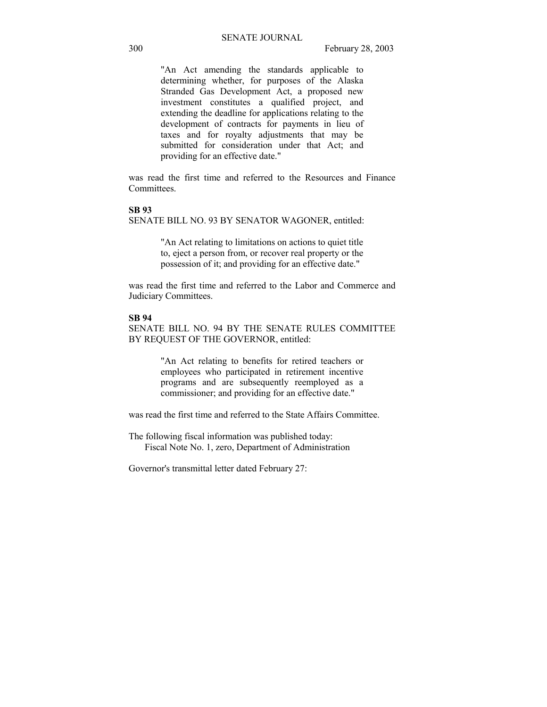"An Act amending the standards applicable to determining whether, for purposes of the Alaska Stranded Gas Development Act, a proposed new investment constitutes a qualified project, and extending the deadline for applications relating to the development of contracts for payments in lieu of taxes and for royalty adjustments that may be submitted for consideration under that Act; and providing for an effective date."

was read the first time and referred to the Resources and Finance Committees.

#### **SB 93**

SENATE BILL NO. 93 BY SENATOR WAGONER, entitled:

"An Act relating to limitations on actions to quiet title to, eject a person from, or recover real property or the possession of it; and providing for an effective date."

was read the first time and referred to the Labor and Commerce and Judiciary Committees.

#### **SB 94**

SENATE BILL NO. 94 BY THE SENATE RULES COMMITTEE BY REQUEST OF THE GOVERNOR, entitled:

> "An Act relating to benefits for retired teachers or employees who participated in retirement incentive programs and are subsequently reemployed as a commissioner; and providing for an effective date."

was read the first time and referred to the State Affairs Committee.

The following fiscal information was published today: Fiscal Note No. 1, zero, Department of Administration

Governor's transmittal letter dated February 27: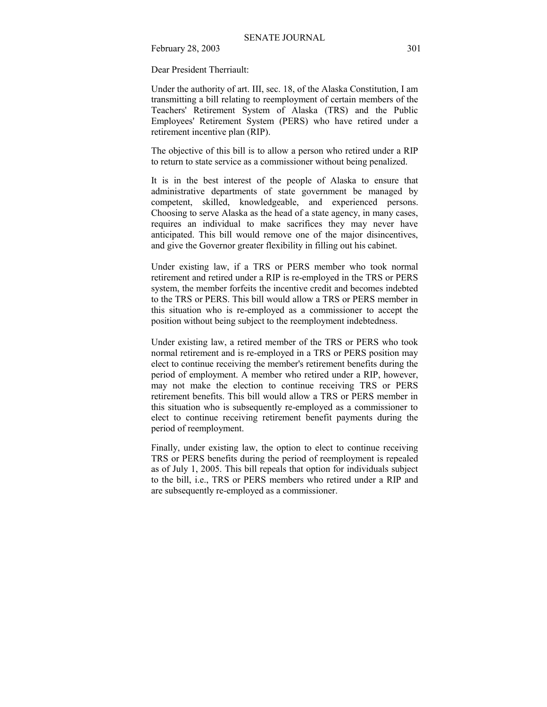Dear President Therriault:

Under the authority of art. III, sec. 18, of the Alaska Constitution, I am transmitting a bill relating to reemployment of certain members of the Teachers' Retirement System of Alaska (TRS) and the Public Employees' Retirement System (PERS) who have retired under a retirement incentive plan (RIP).

The objective of this bill is to allow a person who retired under a RIP to return to state service as a commissioner without being penalized.

It is in the best interest of the people of Alaska to ensure that administrative departments of state government be managed by competent, skilled, knowledgeable, and experienced persons. Choosing to serve Alaska as the head of a state agency, in many cases, requires an individual to make sacrifices they may never have anticipated. This bill would remove one of the major disincentives, and give the Governor greater flexibility in filling out his cabinet.

Under existing law, if a TRS or PERS member who took normal retirement and retired under a RIP is re-employed in the TRS or PERS system, the member forfeits the incentive credit and becomes indebted to the TRS or PERS. This bill would allow a TRS or PERS member in this situation who is re-employed as a commissioner to accept the position without being subject to the reemployment indebtedness.

Under existing law, a retired member of the TRS or PERS who took normal retirement and is re-employed in a TRS or PERS position may elect to continue receiving the member's retirement benefits during the period of employment. A member who retired under a RIP, however, may not make the election to continue receiving TRS or PERS retirement benefits. This bill would allow a TRS or PERS member in this situation who is subsequently re-employed as a commissioner to elect to continue receiving retirement benefit payments during the period of reemployment.

Finally, under existing law, the option to elect to continue receiving TRS or PERS benefits during the period of reemployment is repealed as of July 1, 2005. This bill repeals that option for individuals subject to the bill, i.e., TRS or PERS members who retired under a RIP and are subsequently re-employed as a commissioner.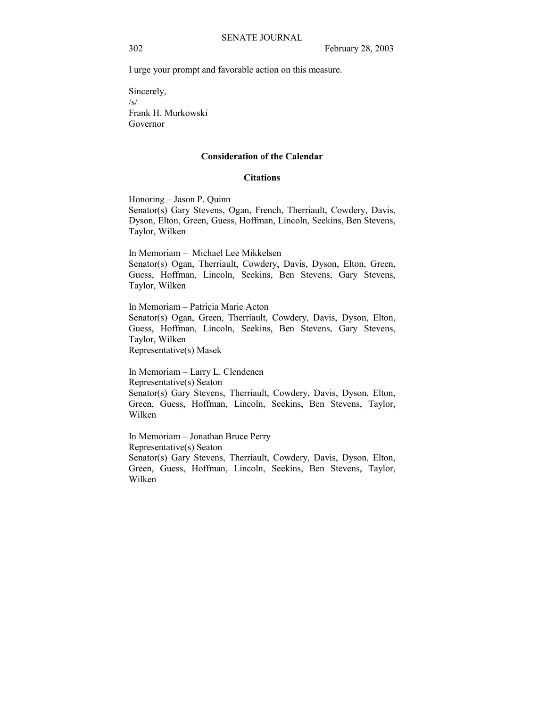I urge your prompt and favorable action on this measure.

Sincerely, /s/ Frank H. Murkowski Governor

#### **Consideration of the Calendar**

#### **Citations**

Honoring - Jason P. Quinn Senator(s) Gary Stevens, Ogan, French, Therriault, Cowdery, Davis, Dyson, Elton, Green, Guess, Hoffman, Lincoln, Seekins, Ben Stevens, Taylor, Wilken

In Memoriam – Michael Lee Mikkelsen Senator(s) Ogan, Therriault, Cowdery, Davis, Dyson, Elton, Green, Guess, Hoffman, Lincoln, Seekins, Ben Stevens, Gary Stevens, Taylor, Wilken

In Memoriam – Patricia Marie Acton Senator(s) Ogan, Green, Therriault, Cowdery, Davis, Dyson, Elton, Guess, Hoffman, Lincoln, Seekins, Ben Stevens, Gary Stevens, Taylor, Wilken Representative(s) Masek

In Memoriam – Larry L. Clendenen Representative(s) Seaton Senator(s) Gary Stevens, Therriault, Cowdery, Davis, Dyson, Elton, Green, Guess, Hoffman, Lincoln, Seekins, Ben Stevens, Taylor, Wilken

In Memoriam - Jonathan Bruce Perry Representative(s) Seaton Senator(s) Gary Stevens, Therriault, Cowdery, Davis, Dyson, Elton, Green, Guess, Hoffman, Lincoln, Seekins, Ben Stevens, Taylor, Wilken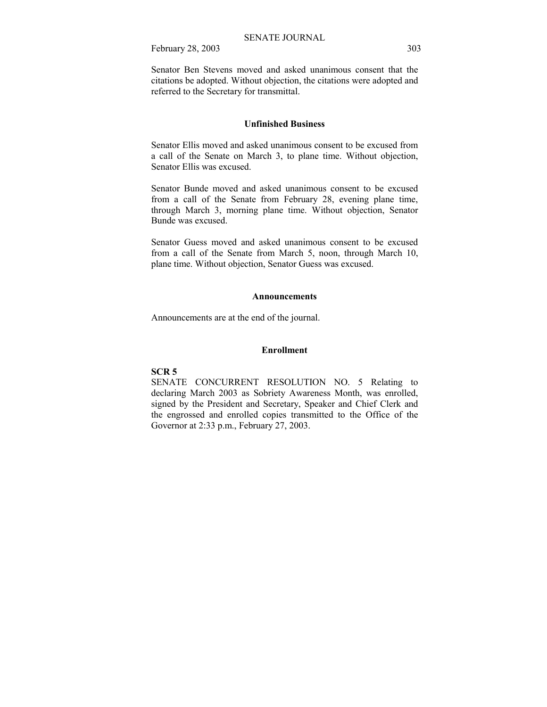Senator Ben Stevens moved and asked unanimous consent that the citations be adopted. Without objection, the citations were adopted and referred to the Secretary for transmittal.

# **Unfinished Business**

Senator Ellis moved and asked unanimous consent to be excused from a call of the Senate on March 3, to plane time. Without objection, Senator Ellis was excused.

Senator Bunde moved and asked unanimous consent to be excused from a call of the Senate from February 28, evening plane time, through March 3, morning plane time. Without objection, Senator Bunde was excused.

Senator Guess moved and asked unanimous consent to be excused from a call of the Senate from March 5, noon, through March 10, plane time. Without objection, Senator Guess was excused.

#### **Announcements**

Announcements are at the end of the journal.

# **Enrollment**

### **SCR 5**

SENATE CONCURRENT RESOLUTION NO. 5 Relating to declaring March 2003 as Sobriety Awareness Month, was enrolled, signed by the President and Secretary, Speaker and Chief Clerk and the engrossed and enrolled copies transmitted to the Office of the Governor at 2:33 p.m., February 27, 2003.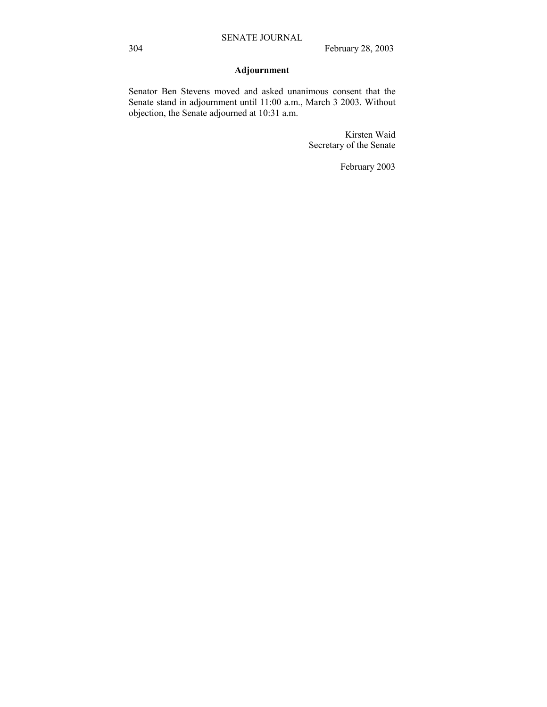# **Adjournment**

Senator Ben Stevens moved and asked unanimous consent that the Senate stand in adjournment until 11:00 a.m., March 3 2003. Without objection, the Senate adjourned at 10:31 a.m.

> Kirsten Waid Secretary of the Senate

> > February 2003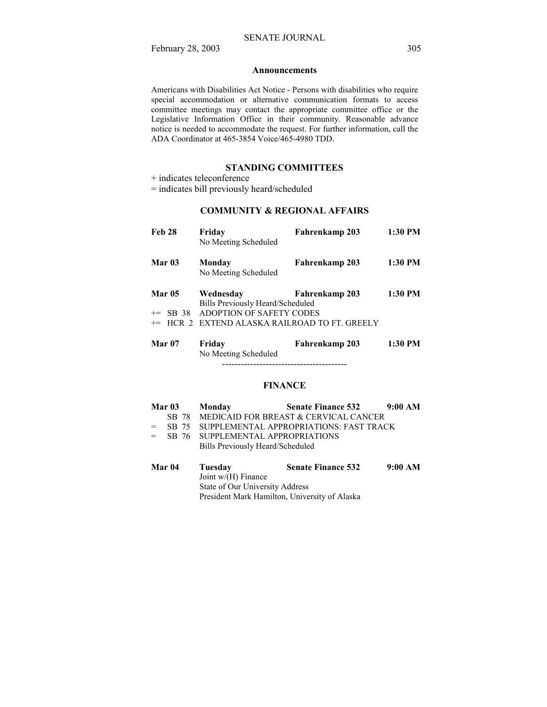#### **Announcements**

Americans with Disabilities Act Notice - Persons with disabilities who require special accommodation or alternative communication formats to access committee meetings may contact the appropriate committee office or the Legislative Information Office in their community. Reasonable advance notice is needed to accommodate the request. For further information, call the ADA Coordinator at 465-3854 Voice/465-4980 TDD.

# **STANDING COMMITTEES**

+ indicates teleconference

= indicates bill previously heard/scheduled

# **COMMUNITY & REGIONAL AFFAIRS**

| <b>Feb 28</b>               | Friday<br>No Meeting Scheduled                                                                                                        | Fahrenkamp 203 | 1:30 PM |
|-----------------------------|---------------------------------------------------------------------------------------------------------------------------------------|----------------|---------|
| Mar <sub>03</sub>           | Monday<br>No Meeting Scheduled                                                                                                        | Fahrenkamp 203 | 1:30 PM |
| <b>Mar 05</b><br>$+=$ SB 38 | Wednesday<br>Bills Previously Heard/Scheduled<br>ADOPTION OF SAFETY CODES<br><sup>+=</sup> HCR 2 EXTEND ALASKA RAILROAD TO FT. GREELY | Fahrenkamp 203 | 1:30 PM |
| Mar 07                      | Fridav                                                                                                                                | Fahrenkamp 203 | 1:30 PM |

 No Meeting Scheduled ----------------------------------------

# **FINANCE**

|     | Mar <sub>03</sub> | Monday                                                                          | <b>Senate Finance 532</b>                   | 9:00 AM |
|-----|-------------------|---------------------------------------------------------------------------------|---------------------------------------------|---------|
|     |                   |                                                                                 | SB 78 MEDICAID FOR BREAST & CERVICAL CANCER |         |
| $=$ | SB 75             |                                                                                 | SUPPLEMENTAL APPROPRIATIONS: FAST TRACK     |         |
| $=$ |                   | SB 76 SUPPLEMENTAL APPROPRIATIONS                                               |                                             |         |
|     |                   | Bills Previously Heard/Scheduled                                                |                                             |         |
|     | Mar 04            | Tuesday<br>Joint $w/(H)$ Finance<br>$\alpha$ , $\alpha$ if $\alpha$ is $\alpha$ | <b>Senate Finance 532</b>                   | 9:00 AM |

 State of Our University Address President Mark Hamilton, University of Alaska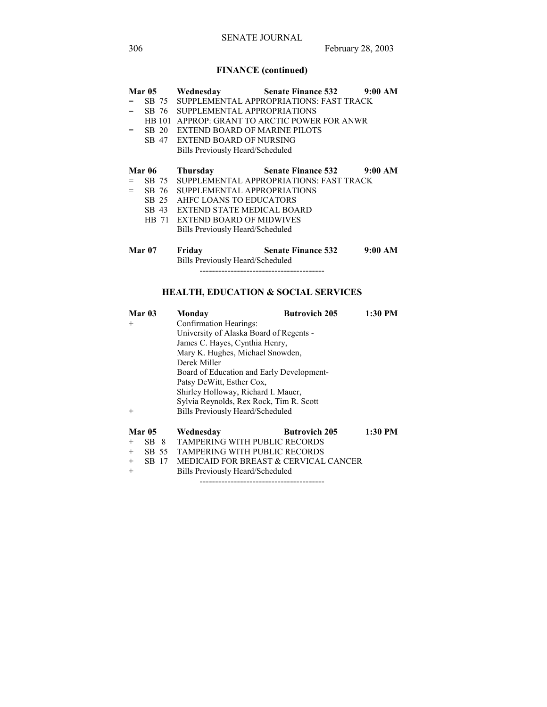# **FINANCE (continued)**

|     | <b>Mar 05</b> |                                   | Wednesday Senate Finance 532 9:00 AM    |         |
|-----|---------------|-----------------------------------|-----------------------------------------|---------|
| $=$ | SB 75         |                                   | SUPPLEMENTAL APPROPRIATIONS: FAST TRACK |         |
| $=$ | SB 76         | SUPPLEMENTAL APPROPRIATIONS       |                                         |         |
|     | HB 101        |                                   | APPROP: GRANT TO ARCTIC POWER FOR ANWR  |         |
| $=$ | SB 20         | EXTEND BOARD OF MARINE PILOTS     |                                         |         |
|     |               | SB 47 EXTEND BOARD OF NURSING     |                                         |         |
|     |               | Bills Previously Heard/Scheduled  |                                         |         |
|     |               |                                   |                                         |         |
|     | <b>Mar 06</b> | Thursday                          | Senate Finance 532 9:00 AM              |         |
| $=$ | SB 75         |                                   | SUPPLEMENTAL APPROPRIATIONS: FAST TRACK |         |
| $=$ | SB 76         | SUPPLEMENTAL APPROPRIATIONS       |                                         |         |
|     |               | SB 25 AHFC LOANS TO EDUCATORS     |                                         |         |
|     | SB 43         | <b>EXTEND STATE MEDICAL BOARD</b> |                                         |         |
|     |               | HB 71 EXTEND BOARD OF MIDWIVES    |                                         |         |
|     |               | Bills Previously Heard/Scheduled  |                                         |         |
|     |               |                                   |                                         |         |
|     | <b>Mar 07</b> | Friday                            | <b>Senate Finance 532</b>               | 9:00 AM |
|     |               | Bills Previously Heard/Scheduled  |                                         |         |
|     |               |                                   |                                         |         |
|     |               |                                   |                                         |         |

# **HEALTH, EDUCATION & SOCIAL SERVICES**

|        | Mar <sub>03</sub> | Monday                                    | <b>Butrovich 205</b> | $1:30$ PM |  |
|--------|-------------------|-------------------------------------------|----------------------|-----------|--|
| $^{+}$ |                   | Confirmation Hearings:                    |                      |           |  |
|        |                   | University of Alaska Board of Regents -   |                      |           |  |
|        |                   | James C. Hayes, Cynthia Henry,            |                      |           |  |
|        |                   | Mary K. Hughes, Michael Snowden,          |                      |           |  |
|        |                   | Derek Miller                              |                      |           |  |
|        |                   | Board of Education and Early Development- |                      |           |  |
|        |                   | Patsy DeWitt, Esther Cox,                 |                      |           |  |
|        |                   | Shirley Holloway, Richard I. Mauer,       |                      |           |  |
|        |                   | Sylvia Reynolds, Rex Rock, Tim R. Scott   |                      |           |  |
| $^{+}$ |                   | Bills Previously Heard/Scheduled          |                      |           |  |
|        |                   |                                           |                      |           |  |
|        | <b>Mar 05</b>     | Wednesday                                 | <b>Butrovich 205</b> | 1:30 PM   |  |
| $^{+}$ | SB 8              | <b>TAMPERING WITH PUBLIC RECORDS</b>      |                      |           |  |
| $^{+}$ | SB 55             | <b>TAMPERING WITH PUBLIC RECORDS</b>      |                      |           |  |
| $^{+}$ | SB 17             | MEDICAID FOR BREAST & CERVICAL CANCER     |                      |           |  |
| $+$    |                   | Bills Previously Heard/Scheduled          |                      |           |  |

----------------------------------------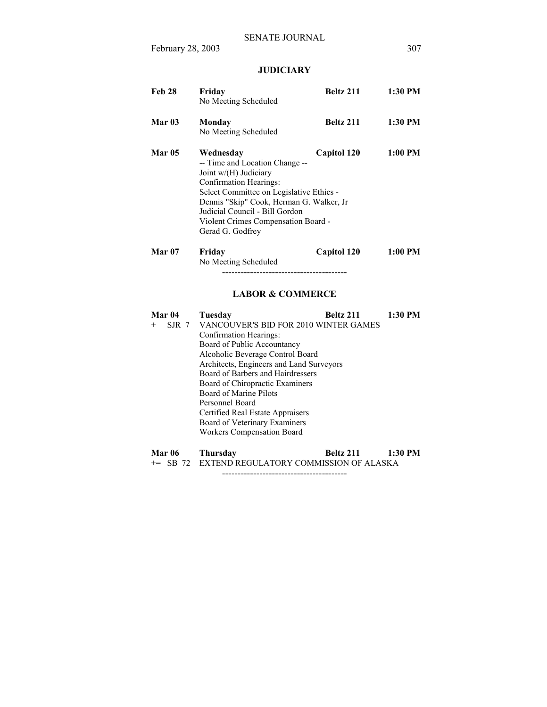# **JUDICIARY**

| <b>Feb 28</b>          | Friday<br>No Meeting Scheduled                                                                                                                                                                                                                                                                                                                                                                                    | Beltz 211   | 1:30 PM   |
|------------------------|-------------------------------------------------------------------------------------------------------------------------------------------------------------------------------------------------------------------------------------------------------------------------------------------------------------------------------------------------------------------------------------------------------------------|-------------|-----------|
| Mar <sub>03</sub>      | Monday<br>No Meeting Scheduled                                                                                                                                                                                                                                                                                                                                                                                    | Beltz 211   | 1:30 PM   |
| <b>Mar 05</b>          | Wednesday<br>-- Time and Location Change --<br>Joint w/(H) Judiciary<br>Confirmation Hearings:<br>Select Committee on Legislative Ethics -<br>Dennis "Skip" Cook, Herman G. Walker, Jr<br>Judicial Council - Bill Gordon<br>Violent Crimes Compensation Board -<br>Gerad G. Godfrey                                                                                                                               | Capitol 120 | $1:00$ PM |
| Mar <sub>07</sub>      | Friday<br>No Meeting Scheduled<br><b>LABOR &amp; COMMERCE</b>                                                                                                                                                                                                                                                                                                                                                     | Capitol 120 | $1:00$ PM |
| Mar 04<br>SJR 7<br>$+$ | Tuesday<br>VANCOUVER'S BID FOR 2010 WINTER GAMES<br>Confirmation Hearings:<br>Board of Public Accountancy<br>Alcoholic Beverage Control Board<br>Architects, Engineers and Land Surveyors<br>Board of Barbers and Hairdressers<br>Board of Chiropractic Examiners<br>Board of Marine Pilots<br>Personnel Board<br>Certified Real Estate Appraisers<br>Board of Veterinary Examiners<br>Workers Compensation Board | Beltz 211   | 1:30 PM   |

| Mar 06 | Thursday | Beltz 211                                       | $1:30$ PM |
|--------|----------|-------------------------------------------------|-----------|
|        |          | += SB 72 EXTEND REGULATORY COMMISSION OF ALASKA |           |

----------------------------------------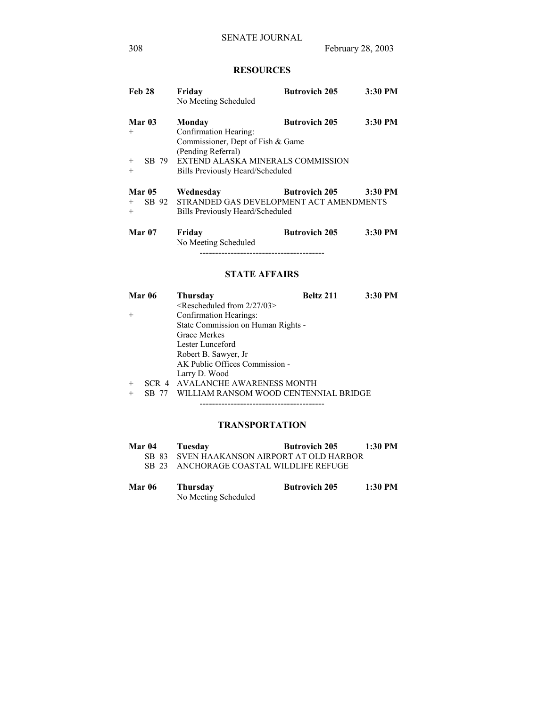# **RESOURCES**

| Feb 28                                                | Friday<br>No Meeting Scheduled                                                                                                                                      | <b>Butrovich 205</b> | 3:30 PM |
|-------------------------------------------------------|---------------------------------------------------------------------------------------------------------------------------------------------------------------------|----------------------|---------|
| Mar <sub>03</sub><br>$^{+}$<br>SB 79<br>$^{+}$<br>$+$ | Monday<br>Confirmation Hearing:<br>Commissioner, Dept of Fish & Game<br>(Pending Referral)<br>EXTEND ALASKA MINERALS COMMISSION<br>Bills Previously Heard/Scheduled | <b>Butrovich 205</b> | 3:30 PM |
| <b>Mar 05</b><br>SB 92<br>$+$<br>$^{+}$               | Wednesday<br>STRANDED GAS DEVELOPMENT ACT AMENDMENTS<br>Bills Previously Heard/Scheduled                                                                            | <b>Butrovich 205</b> | 3:30 PM |
| Mar 07                                                | Friday<br>No Meeting Scheduled                                                                                                                                      | <b>Butrovich 205</b> | 3:30 PM |

# **STATE AFFAIRS**

| <b>Mar 06</b> | <b>Thursday</b>                       | Beltz 211 | 3:30 PM |
|---------------|---------------------------------------|-----------|---------|
|               | $\leq$ Rescheduled from 2/27/03>      |           |         |
| $+$           | Confirmation Hearings:                |           |         |
|               | State Commission on Human Rights -    |           |         |
|               | Grace Merkes                          |           |         |
|               | Lester Lunceford                      |           |         |
|               | Robert B. Sawyer, Jr.                 |           |         |
|               | AK Public Offices Commission -        |           |         |
|               | Larry D. Wood                         |           |         |
| $+$           | SCR 4 AVALANCHE AWARENESS MONTH       |           |         |
| $^{+}$        | WILLIAM RANSOM WOOD CENTENNIAL BRIDGE |           |         |

# **TRANSPORTATION**

----------------------------------------

| Mar 04 | Tuesday                                    | <b>Butrovich 205</b> | $1:30$ PM |
|--------|--------------------------------------------|----------------------|-----------|
|        | SB 83 SVEN HAAKANSON AIRPORT AT OLD HARBOR |                      |           |
|        | SB 23 ANCHORAGE COASTAL WILDLIFE REFUGE    |                      |           |

| <b>Mar 06</b> | <b>Thursday</b>      | <b>Butrovich 205</b> | 1:30 PM |
|---------------|----------------------|----------------------|---------|
|               | No Meeting Scheduled |                      |         |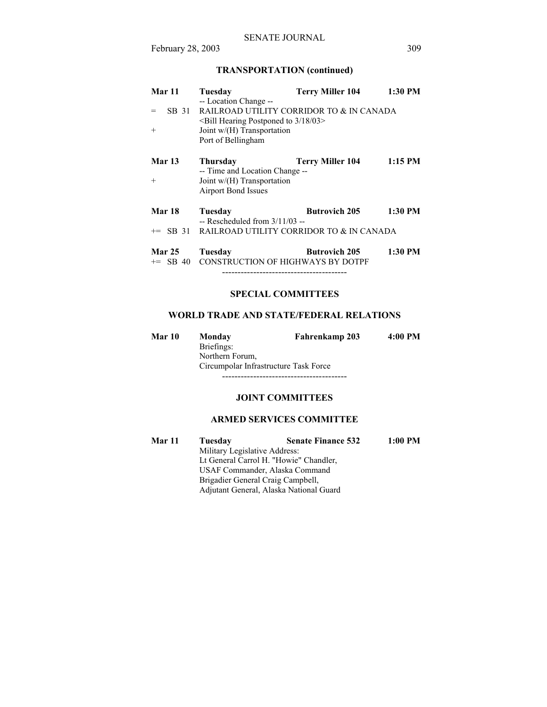# **TRANSPORTATION (continued)**

| Mar 11                      | Tuesday                                                                                                                                                           | <b>Terry Miller 104</b> | 1:30 PM   |
|-----------------------------|-------------------------------------------------------------------------------------------------------------------------------------------------------------------|-------------------------|-----------|
| SB 31<br>$=$<br>$+$         | -- Location Change --<br>RAILROAD UTILITY CORRIDOR TO & IN CANADA<br>$\le$ Bill Hearing Postponed to 3/18/03><br>Joint w/(H) Transportation<br>Port of Bellingham |                         |           |
| <b>Mar 13</b>               | Thursday<br>-- Time and Location Change --                                                                                                                        | <b>Terry Miller 104</b> | $1:15$ PM |
| $+$                         | Joint $w/(H)$ Transportation<br>Airport Bond Issues                                                                                                               |                         |           |
| <b>Mar 18</b>               | Tuesday<br>$-$ Rescheduled from $3/11/03 -$                                                                                                                       | <b>Butrovich 205</b>    | 1:30 PM   |
|                             | $\pm$ SB 31 RAILROAD UTILITY CORRIDOR TO & IN CANADA                                                                                                              |                         |           |
| <b>Mar 25</b><br>$+=$ SB 40 | Tuesday<br><b>CONSTRUCTION OF HIGHWAYS BY DOTPF</b><br>-------------------------------------                                                                      | <b>Butrovich 205</b>    | 1:30 PM   |

# **SPECIAL COMMITTEES**

# **WORLD TRADE AND STATE/FEDERAL RELATIONS**

| Mar 10 | Monday                                | Fahrenkamp 203 | 4:00 PM |  |  |
|--------|---------------------------------------|----------------|---------|--|--|
|        | Briefings:                            |                |         |  |  |
|        | Northern Forum.                       |                |         |  |  |
|        | Circumpolar Infrastructure Task Force |                |         |  |  |
|        |                                       |                |         |  |  |

# **JOINT COMMITTEES**

# **ARMED SERVICES COMMITTEE**

| Mar 11 | Tuesday                                | <b>Senate Finance 532</b>               | $1:00$ PM |
|--------|----------------------------------------|-----------------------------------------|-----------|
|        | Military Legislative Address:          |                                         |           |
|        | Lt General Carrol H. "Howie" Chandler, |                                         |           |
|        | USAF Commander, Alaska Command         |                                         |           |
|        | Brigadier General Craig Campbell,      |                                         |           |
|        |                                        | Adjutant General, Alaska National Guard |           |